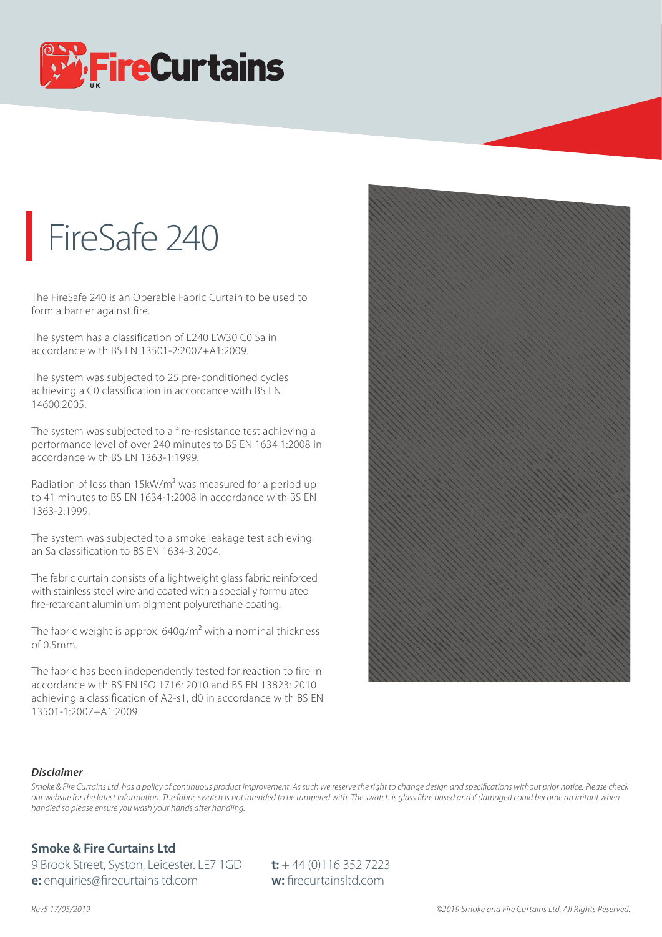

## FireSafe 240

The FireSafe 240 is an Operable Fabric Curtain to be used to form a barrier against fire.

The system has a classification of E240 EW30 C0 Sa in accordance with BS EN 13501-2:2007+A1:2009.

The system was subjected to 25 pre-conditioned cycles achieving a C0 classification in accordance with BS EN 14600:2005.

The system was subjected to a fire-resistance test achieving a performance level of over 240 minutes to BS EN 1634 1:2008 in accordance with BS EN 1363-1:1999.

Radiation of less than 15kW/m2 was measured for a period up to 41 minutes to BS EN 1634-1:2008 in accordance with BS EN 1363-2:1999.

The system was subjected to a smoke leakage test achieving an Sa classification to BS EN 1634-3:2004.

The fabric curtain consists of a lightweight glass fabric reinforced with stainless steel wire and coated with a specially formulated fire-retardant aluminium pigment polyurethane coating.

The fabric weight is approx.  $640g/m^2$  with a nominal thickness of 0.5mm.

The fabric has been independently tested for reaction to fire in accordance with BS EN ISO 1716: 2010 and BS EN 13823: 2010 achieving a classification of A2-s1, d0 in accordance with BS EN 13501-1:2007+A1:2009.



## *Disclaimer*

Smoke & Fire Curtains Ltd. has a policy of continuous product improvement. As such we reserve the right to change design and specifications without prior notice. Please check *our website for the latest information. The fabric swatch is not intended to be tampered with. The swatch is glass bre based and if damaged could become an irritant when handled so please ensure you wash your hands after handling.*

## **Smoke & Fire Curtains Ltd**

9 Brook Street, Syston, Leicester. LE7 1GD **t:** + 44 (0)116 352 7223 **e:** enquiries@firecurtainsltd.com **w:** firecurtainsltd.com